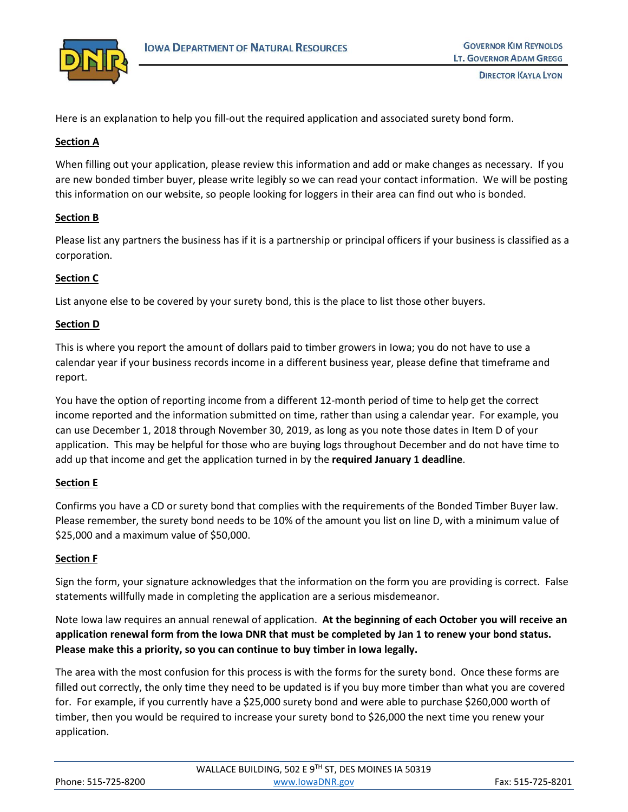

Here is an explanation to help you fill-out the required application and associated surety bond form.

## **Section A**

When filling out your application, please review this information and add or make changes as necessary. If you are new bonded timber buyer, please write legibly so we can read your contact information. We will be posting this information on our website, so people looking for loggers in their area can find out who is bonded.

# **Section B**

Please list any partners the business has if it is a partnership or principal officers if your business is classified as a corporation.

# **Section C**

List anyone else to be covered by your surety bond, this is the place to list those other buyers.

## **Section D**

This is where you report the amount of dollars paid to timber growers in Iowa; you do not have to use a calendar year if your business records income in a different business year, please define that timeframe and report.

You have the option of reporting income from a different 12-month period of time to help get the correct income reported and the information submitted on time, rather than using a calendar year. For example, you can use December 1, 2018 through November 30, 2019, as long as you note those dates in Item D of your application. This may be helpful for those who are buying logs throughout December and do not have time to add up that income and get the application turned in by the **required January 1 deadline**.

## **Section E**

Confirms you have a CD or surety bond that complies with the requirements of the Bonded Timber Buyer law. Please remember, the surety bond needs to be 10% of the amount you list on line D, with a minimum value of \$25,000 and a maximum value of \$50,000.

## **Section F**

Sign the form, your signature acknowledges that the information on the form you are providing is correct. False statements willfully made in completing the application are a serious misdemeanor.

Note Iowa law requires an annual renewal of application. **At the beginning of each October you will receive an application renewal form from the Iowa DNR that must be completed by Jan 1 to renew your bond status. Please make this a priority, so you can continue to buy timber in Iowa legally.**

The area with the most confusion for this process is with the forms for the surety bond. Once these forms are filled out correctly, the only time they need to be updated is if you buy more timber than what you are covered for. For example, if you currently have a \$25,000 surety bond and were able to purchase \$260,000 worth of timber, then you would be required to increase your surety bond to \$26,000 the next time you renew your application.

|                     | WALLACE BUILDING, 502 E 9TH ST, DES MOINES IA 50319 |                   |
|---------------------|-----------------------------------------------------|-------------------|
| Phone: 515-725-8200 | www.lowaDNR.gov                                     | Fax: 515-725-8201 |